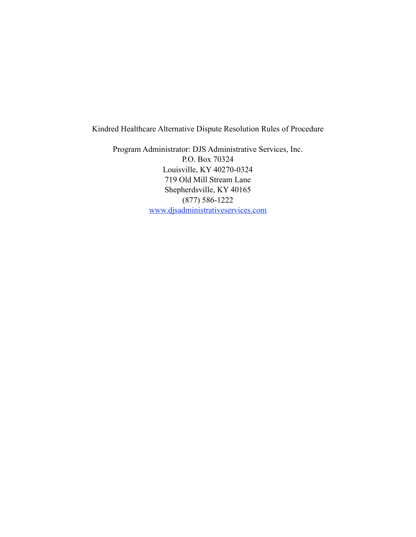Kindred Healthcare Alternative Dispute Resolution Rules of Procedure

Program Administrator: DJS Administrative Services, Inc. P.O. Box 70324 Louisville, KY 40270-0324 719 Old Mill Stream Lane Shepherdsville, KY 40165 (877) 586-1222 [www.djsadministrativeservices.com](http://www.djsadministrativeservices.com/)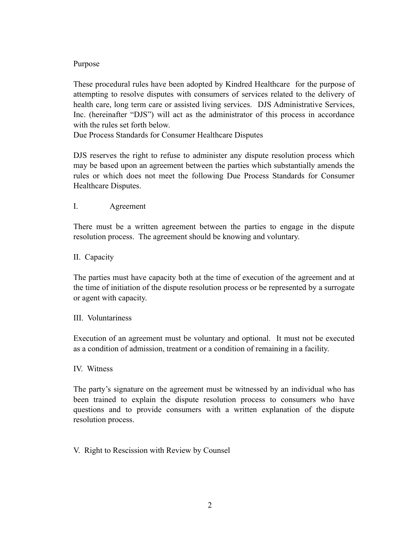# Purpose

These procedural rules have been adopted by Kindred Healthcare for the purpose of attempting to resolve disputes with consumers of services related to the delivery of health care, long term care or assisted living services. DJS Administrative Services, Inc. (hereinafter "DJS") will act as the administrator of this process in accordance with the rules set forth below.

Due Process Standards for Consumer Healthcare Disputes

DJS reserves the right to refuse to administer any dispute resolution process which may be based upon an agreement between the parties which substantially amends the rules or which does not meet the following Due Process Standards for Consumer Healthcare Disputes.

### I. Agreement

There must be a written agreement between the parties to engage in the dispute resolution process. The agreement should be knowing and voluntary.

### II. Capacity

The parties must have capacity both at the time of execution of the agreement and at the time of initiation of the dispute resolution process or be represented by a surrogate or agent with capacity.

#### III. Voluntariness

Execution of an agreement must be voluntary and optional. It must not be executed as a condition of admission, treatment or a condition of remaining in a facility.

#### IV. Witness

The party's signature on the agreement must be witnessed by an individual who has been trained to explain the dispute resolution process to consumers who have questions and to provide consumers with a written explanation of the dispute resolution process.

# V. Right to Rescission with Review by Counsel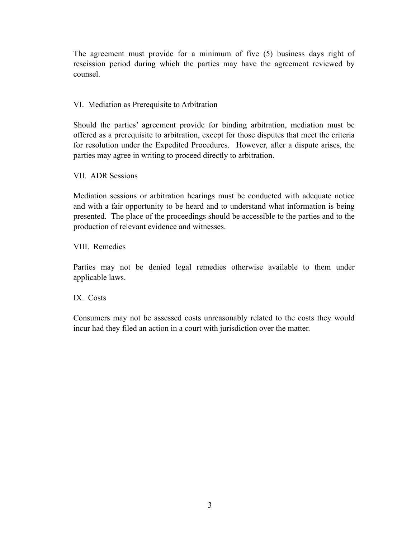The agreement must provide for a minimum of five (5) business days right of rescission period during which the parties may have the agreement reviewed by counsel.

## VI. Mediation as Prerequisite to Arbitration

Should the parties' agreement provide for binding arbitration, mediation must be offered as a prerequisite to arbitration, except for those disputes that meet the criteria for resolution under the Expedited Procedures. However, after a dispute arises, the parties may agree in writing to proceed directly to arbitration.

VII. ADR Sessions

Mediation sessions or arbitration hearings must be conducted with adequate notice and with a fair opportunity to be heard and to understand what information is being presented. The place of the proceedings should be accessible to the parties and to the production of relevant evidence and witnesses.

VIII. Remedies

Parties may not be denied legal remedies otherwise available to them under applicable laws.

IX. Costs

Consumers may not be assessed costs unreasonably related to the costs they would incur had they filed an action in a court with jurisdiction over the matter.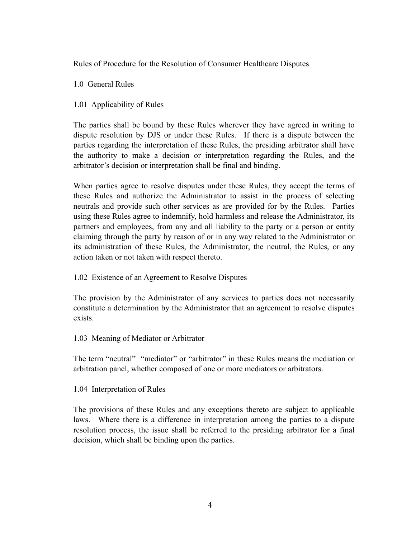Rules of Procedure for the Resolution of Consumer Healthcare Disputes

1.0 General Rules

1.01 Applicability of Rules

The parties shall be bound by these Rules wherever they have agreed in writing to dispute resolution by DJS or under these Rules. If there is a dispute between the parties regarding the interpretation of these Rules, the presiding arbitrator shall have the authority to make a decision or interpretation regarding the Rules, and the arbitrator's decision or interpretation shall be final and binding.

When parties agree to resolve disputes under these Rules, they accept the terms of these Rules and authorize the Administrator to assist in the process of selecting neutrals and provide such other services as are provided for by the Rules. Parties using these Rules agree to indemnify, hold harmless and release the Administrator, its partners and employees, from any and all liability to the party or a person or entity claiming through the party by reason of or in any way related to the Administrator or its administration of these Rules, the Administrator, the neutral, the Rules, or any action taken or not taken with respect thereto.

1.02 Existence of an Agreement to Resolve Disputes

The provision by the Administrator of any services to parties does not necessarily constitute a determination by the Administrator that an agreement to resolve disputes exists.

1.03 Meaning of Mediator or Arbitrator

The term "neutral" "mediator" or "arbitrator" in these Rules means the mediation or arbitration panel, whether composed of one or more mediators or arbitrators.

1.04 Interpretation of Rules

The provisions of these Rules and any exceptions thereto are subject to applicable laws. Where there is a difference in interpretation among the parties to a dispute resolution process, the issue shall be referred to the presiding arbitrator for a final decision, which shall be binding upon the parties.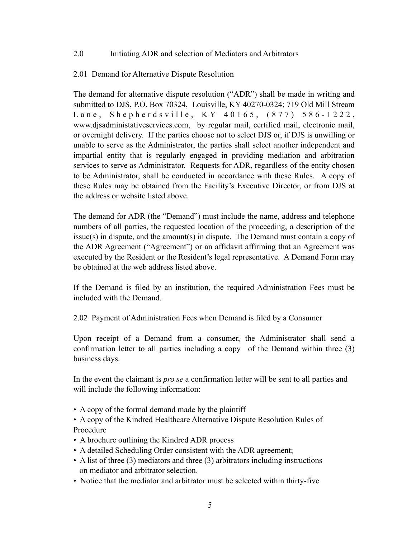### 2.0 Initiating ADR and selection of Mediators and Arbitrators

### 2.01 Demand for Alternative Dispute Resolution

The demand for alternative dispute resolution ("ADR") shall be made in writing and submitted to DJS, P.O. Box 70324, Louisville, KY 40270-0324; 719 Old Mill Stream Lane, Shepherdsville, KY 40165, (877) 586-1222, www.djsadministativeservices.com, by regular mail, certified mail, electronic mail, or overnight delivery. If the parties choose not to select DJS or, if DJS is unwilling or unable to serve as the Administrator, the parties shall select another independent and impartial entity that is regularly engaged in providing mediation and arbitration services to serve as Administrator. Requests for ADR, regardless of the entity chosen to be Administrator, shall be conducted in accordance with these Rules. A copy of these Rules may be obtained from the Facility's Executive Director, or from DJS at the address or website listed above.

The demand for ADR (the "Demand") must include the name, address and telephone numbers of all parties, the requested location of the proceeding, a description of the issue(s) in dispute, and the amount(s) in dispute. The Demand must contain a copy of the ADR Agreement ("Agreement") or an affidavit affirming that an Agreement was executed by the Resident or the Resident's legal representative. A Demand Form may be obtained at the web address listed above.

If the Demand is filed by an institution, the required Administration Fees must be included with the Demand.

2.02 Payment of Administration Fees when Demand is filed by a Consumer

Upon receipt of a Demand from a consumer, the Administrator shall send a confirmation letter to all parties including a copy of the Demand within three (3) business days.

In the event the claimant is *pro se* a confirmation letter will be sent to all parties and will include the following information:

- A copy of the formal demand made by the plaintiff
- A copy of the Kindred Healthcare Alternative Dispute Resolution Rules of Procedure
- A brochure outlining the Kindred ADR process
- A detailed Scheduling Order consistent with the ADR agreement;
- A list of three (3) mediators and three (3) arbitrators including instructions on mediator and arbitrator selection.
- Notice that the mediator and arbitrator must be selected within thirty-five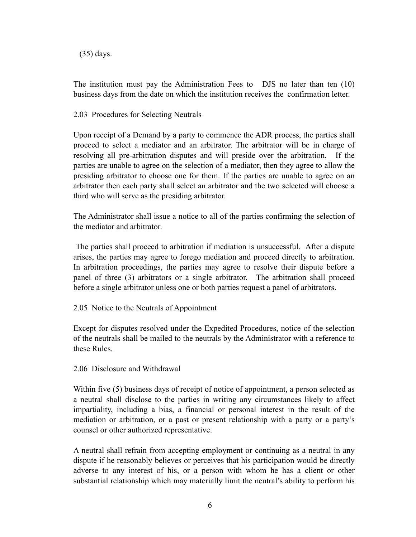(35) days.

The institution must pay the Administration Fees to DJS no later than ten (10) business days from the date on which the institution receives the confirmation letter.

2.03 Procedures for Selecting Neutrals

Upon receipt of a Demand by a party to commence the ADR process, the parties shall proceed to select a mediator and an arbitrator. The arbitrator will be in charge of resolving all pre-arbitration disputes and will preside over the arbitration. If the parties are unable to agree on the selection of a mediator, then they agree to allow the presiding arbitrator to choose one for them. If the parties are unable to agree on an arbitrator then each party shall select an arbitrator and the two selected will choose a third who will serve as the presiding arbitrator.

The Administrator shall issue a notice to all of the parties confirming the selection of the mediator and arbitrator.

 The parties shall proceed to arbitration if mediation is unsuccessful. After a dispute arises, the parties may agree to forego mediation and proceed directly to arbitration. In arbitration proceedings, the parties may agree to resolve their dispute before a panel of three (3) arbitrators or a single arbitrator. The arbitration shall proceed before a single arbitrator unless one or both parties request a panel of arbitrators.

2.05 Notice to the Neutrals of Appointment

Except for disputes resolved under the Expedited Procedures, notice of the selection of the neutrals shall be mailed to the neutrals by the Administrator with a reference to these Rules.

2.06 Disclosure and Withdrawal

Within five (5) business days of receipt of notice of appointment, a person selected as a neutral shall disclose to the parties in writing any circumstances likely to affect impartiality, including a bias, a financial or personal interest in the result of the mediation or arbitration, or a past or present relationship with a party or a party's counsel or other authorized representative.

A neutral shall refrain from accepting employment or continuing as a neutral in any dispute if he reasonably believes or perceives that his participation would be directly adverse to any interest of his, or a person with whom he has a client or other substantial relationship which may materially limit the neutral's ability to perform his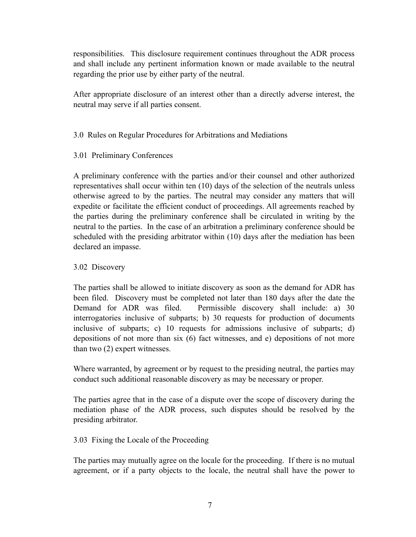responsibilities. This disclosure requirement continues throughout the ADR process and shall include any pertinent information known or made available to the neutral regarding the prior use by either party of the neutral.

After appropriate disclosure of an interest other than a directly adverse interest, the neutral may serve if all parties consent.

# 3.0 Rules on Regular Procedures for Arbitrations and Mediations

3.01 Preliminary Conferences

A preliminary conference with the parties and/or their counsel and other authorized representatives shall occur within ten (10) days of the selection of the neutrals unless otherwise agreed to by the parties. The neutral may consider any matters that will expedite or facilitate the efficient conduct of proceedings. All agreements reached by the parties during the preliminary conference shall be circulated in writing by the neutral to the parties. In the case of an arbitration a preliminary conference should be scheduled with the presiding arbitrator within (10) days after the mediation has been declared an impasse.

# 3.02 Discovery

The parties shall be allowed to initiate discovery as soon as the demand for ADR has been filed. Discovery must be completed not later than 180 days after the date the Demand for ADR was filed. Permissible discovery shall include: a) 30 interrogatories inclusive of subparts; b) 30 requests for production of documents inclusive of subparts; c) 10 requests for admissions inclusive of subparts; d) depositions of not more than six (6) fact witnesses, and e) depositions of not more than two (2) expert witnesses.

Where warranted, by agreement or by request to the presiding neutral, the parties may conduct such additional reasonable discovery as may be necessary or proper.

The parties agree that in the case of a dispute over the scope of discovery during the mediation phase of the ADR process, such disputes should be resolved by the presiding arbitrator.

# 3.03 Fixing the Locale of the Proceeding

The parties may mutually agree on the locale for the proceeding. If there is no mutual agreement, or if a party objects to the locale, the neutral shall have the power to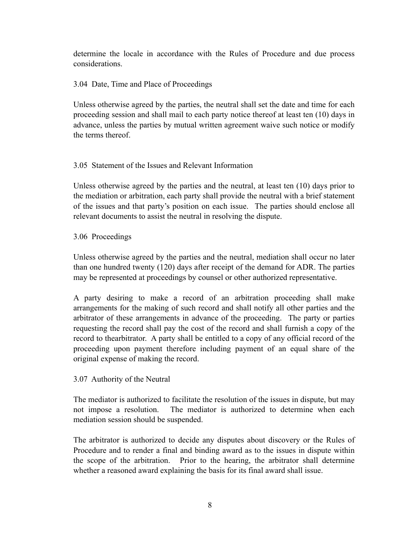determine the locale in accordance with the Rules of Procedure and due process considerations.

# 3.04 Date, Time and Place of Proceedings

Unless otherwise agreed by the parties, the neutral shall set the date and time for each proceeding session and shall mail to each party notice thereof at least ten (10) days in advance, unless the parties by mutual written agreement waive such notice or modify the terms thereof.

# 3.05 Statement of the Issues and Relevant Information

Unless otherwise agreed by the parties and the neutral, at least ten (10) days prior to the mediation or arbitration, each party shall provide the neutral with a brief statement of the issues and that party's position on each issue. The parties should enclose all relevant documents to assist the neutral in resolving the dispute.

# 3.06 Proceedings

Unless otherwise agreed by the parties and the neutral, mediation shall occur no later than one hundred twenty (120) days after receipt of the demand for ADR. The parties may be represented at proceedings by counsel or other authorized representative.

A party desiring to make a record of an arbitration proceeding shall make arrangements for the making of such record and shall notify all other parties and the arbitrator of these arrangements in advance of the proceeding. The party or parties requesting the record shall pay the cost of the record and shall furnish a copy of the record to thearbitrator. A party shall be entitled to a copy of any official record of the proceeding upon payment therefore including payment of an equal share of the original expense of making the record.

# 3.07 Authority of the Neutral

The mediator is authorized to facilitate the resolution of the issues in dispute, but may not impose a resolution. The mediator is authorized to determine when each mediation session should be suspended.

The arbitrator is authorized to decide any disputes about discovery or the Rules of Procedure and to render a final and binding award as to the issues in dispute within the scope of the arbitration. Prior to the hearing, the arbitrator shall determine whether a reasoned award explaining the basis for its final award shall issue.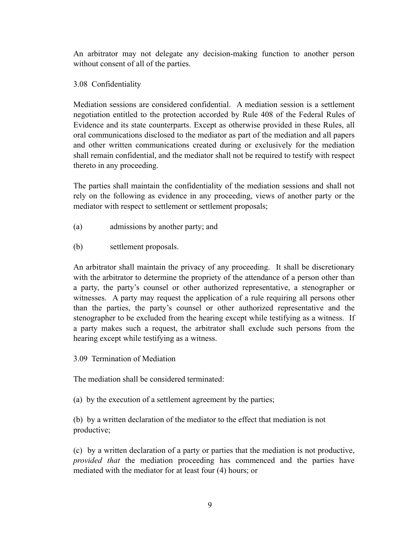An arbitrator may not delegate any decision-making function to another person without consent of all of the parties.

# 3.08 Confidentiality

Mediation sessions are considered confidential. A mediation session is a settlement negotiation entitled to the protection accorded by Rule 408 of the Federal Rules of Evidence and its state counterparts. Except as otherwise provided in these Rules, all oral communications disclosed to the mediator as part of the mediation and all papers and other written communications created during or exclusively for the mediation shall remain confidential, and the mediator shall not be required to testify with respect thereto in any proceeding.

The parties shall maintain the confidentiality of the mediation sessions and shall not rely on the following as evidence in any proceeding, views of another party or the mediator with respect to settlement or settlement proposals;

- (a) admissions by another party; and
- (b) settlement proposals.

An arbitrator shall maintain the privacy of any proceeding. It shall be discretionary with the arbitrator to determine the propriety of the attendance of a person other than a party, the party's counsel or other authorized representative, a stenographer or witnesses. A party may request the application of a rule requiring all persons other than the parties, the party's counsel or other authorized representative and the stenographer to be excluded from the hearing except while testifying as a witness. If a party makes such a request, the arbitrator shall exclude such persons from the hearing except while testifying as a witness.

3.09 Termination of Mediation

The mediation shall be considered terminated:

(a) by the execution of a settlement agreement by the parties;

(b) by a written declaration of the mediator to the effect that mediation is not productive;

(c) by a written declaration of a party or parties that the mediation is not productive, *provided that* the mediation proceeding has commenced and the parties have mediated with the mediator for at least four (4) hours; or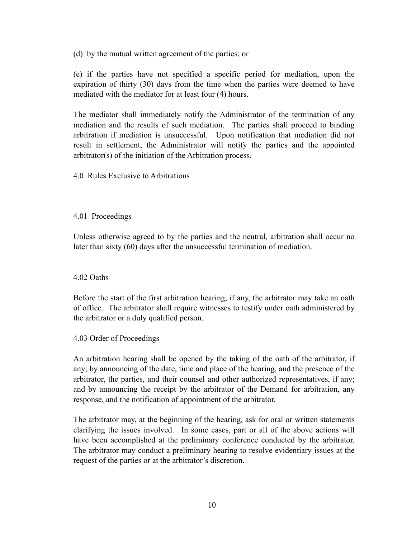(d) by the mutual written agreement of the parties; or

(e) if the parties have not specified a specific period for mediation, upon the expiration of thirty (30) days from the time when the parties were deemed to have mediated with the mediator for at least four (4) hours.

The mediator shall immediately notify the Administrator of the termination of any mediation and the results of such mediation. The parties shall proceed to binding arbitration if mediation is unsuccessful. Upon notification that mediation did not result in settlement, the Administrator will notify the parties and the appointed arbitrator(s) of the initiation of the Arbitration process.

4.0 Rules Exclusive to Arbitrations

### 4.01 Proceedings

Unless otherwise agreed to by the parties and the neutral, arbitration shall occur no later than sixty (60) days after the unsuccessful termination of mediation.

# 4.02 Oaths

Before the start of the first arbitration hearing, if any, the arbitrator may take an oath of office. The arbitrator shall require witnesses to testify under oath administered by the arbitrator or a duly qualified person.

#### 4.03 Order of Proceedings

An arbitration hearing shall be opened by the taking of the oath of the arbitrator, if any; by announcing of the date, time and place of the hearing, and the presence of the arbitrator, the parties, and their counsel and other authorized representatives, if any; and by announcing the receipt by the arbitrator of the Demand for arbitration, any response, and the notification of appointment of the arbitrator.

The arbitrator may, at the beginning of the hearing, ask for oral or written statements clarifying the issues involved. In some cases, part or all of the above actions will have been accomplished at the preliminary conference conducted by the arbitrator. The arbitrator may conduct a preliminary hearing to resolve evidentiary issues at the request of the parties or at the arbitrator's discretion.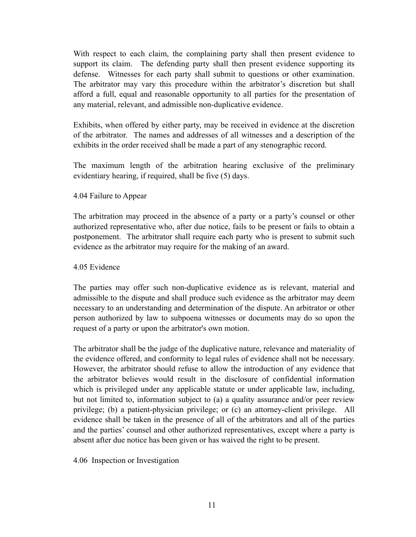With respect to each claim, the complaining party shall then present evidence to support its claim. The defending party shall then present evidence supporting its defense. Witnesses for each party shall submit to questions or other examination. The arbitrator may vary this procedure within the arbitrator's discretion but shall afford a full, equal and reasonable opportunity to all parties for the presentation of any material, relevant, and admissible non-duplicative evidence.

Exhibits, when offered by either party, may be received in evidence at the discretion of the arbitrator. The names and addresses of all witnesses and a description of the exhibits in the order received shall be made a part of any stenographic record.

The maximum length of the arbitration hearing exclusive of the preliminary evidentiary hearing, if required, shall be five (5) days.

#### 4.04 Failure to Appear

The arbitration may proceed in the absence of a party or a party's counsel or other authorized representative who, after due notice, fails to be present or fails to obtain a postponement. The arbitrator shall require each party who is present to submit such evidence as the arbitrator may require for the making of an award.

#### 4.05 Evidence

The parties may offer such non-duplicative evidence as is relevant, material and admissible to the dispute and shall produce such evidence as the arbitrator may deem necessary to an understanding and determination of the dispute. An arbitrator or other person authorized by law to subpoena witnesses or documents may do so upon the request of a party or upon the arbitrator's own motion.

The arbitrator shall be the judge of the duplicative nature, relevance and materiality of the evidence offered, and conformity to legal rules of evidence shall not be necessary. However, the arbitrator should refuse to allow the introduction of any evidence that the arbitrator believes would result in the disclosure of confidential information which is privileged under any applicable statute or under applicable law, including, but not limited to, information subject to (a) a quality assurance and/or peer review privilege; (b) a patient-physician privilege; or (c) an attorney-client privilege. All evidence shall be taken in the presence of all of the arbitrators and all of the parties and the parties' counsel and other authorized representatives, except where a party is absent after due notice has been given or has waived the right to be present.

4.06 Inspection or Investigation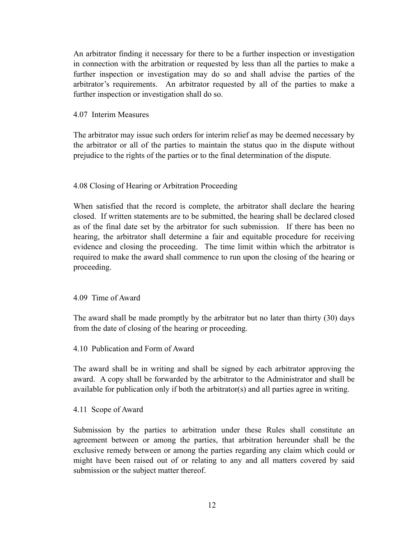An arbitrator finding it necessary for there to be a further inspection or investigation in connection with the arbitration or requested by less than all the parties to make a further inspection or investigation may do so and shall advise the parties of the arbitrator's requirements. An arbitrator requested by all of the parties to make a further inspection or investigation shall do so.

#### 4.07 Interim Measures

The arbitrator may issue such orders for interim relief as may be deemed necessary by the arbitrator or all of the parties to maintain the status quo in the dispute without prejudice to the rights of the parties or to the final determination of the dispute.

### 4.08 Closing of Hearing or Arbitration Proceeding

When satisfied that the record is complete, the arbitrator shall declare the hearing closed. If written statements are to be submitted, the hearing shall be declared closed as of the final date set by the arbitrator for such submission. If there has been no hearing, the arbitrator shall determine a fair and equitable procedure for receiving evidence and closing the proceeding. The time limit within which the arbitrator is required to make the award shall commence to run upon the closing of the hearing or proceeding.

#### 4.09 Time of Award

The award shall be made promptly by the arbitrator but no later than thirty (30) days from the date of closing of the hearing or proceeding.

#### 4.10 Publication and Form of Award

The award shall be in writing and shall be signed by each arbitrator approving the award. A copy shall be forwarded by the arbitrator to the Administrator and shall be available for publication only if both the arbitrator(s) and all parties agree in writing.

#### 4.11 Scope of Award

Submission by the parties to arbitration under these Rules shall constitute an agreement between or among the parties, that arbitration hereunder shall be the exclusive remedy between or among the parties regarding any claim which could or might have been raised out of or relating to any and all matters covered by said submission or the subject matter thereof.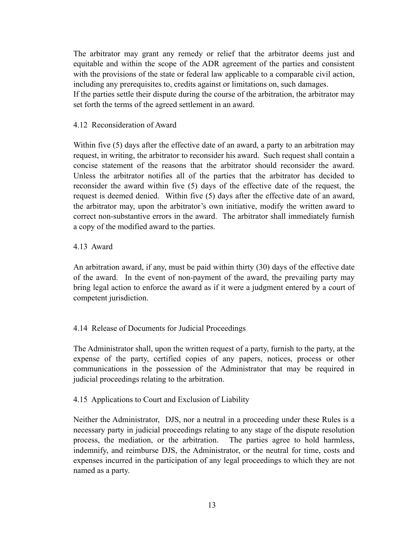The arbitrator may grant any remedy or relief that the arbitrator deems just and equitable and within the scope of the ADR agreement of the parties and consistent with the provisions of the state or federal law applicable to a comparable civil action, including any prerequisites to, credits against or limitations on, such damages.

If the parties settle their dispute during the course of the arbitration, the arbitrator may set forth the terms of the agreed settlement in an award.

# 4.12 Reconsideration of Award

Within five (5) days after the effective date of an award, a party to an arbitration may request, in writing, the arbitrator to reconsider his award. Such request shall contain a concise statement of the reasons that the arbitrator should reconsider the award. Unless the arbitrator notifies all of the parties that the arbitrator has decided to reconsider the award within five (5) days of the effective date of the request, the request is deemed denied. Within five (5) days after the effective date of an award, the arbitrator may, upon the arbitrator's own initiative, modify the written award to correct non-substantive errors in the award. The arbitrator shall immediately furnish a copy of the modified award to the parties.

# 4.13 Award

An arbitration award, if any, must be paid within thirty (30) days of the effective date of the award. In the event of non-payment of the award, the prevailing party may bring legal action to enforce the award as if it were a judgment entered by a court of competent jurisdiction.

# 4.14 Release of Documents for Judicial Proceedings

The Administrator shall, upon the written request of a party, furnish to the party, at the expense of the party, certified copies of any papers, notices, process or other communications in the possession of the Administrator that may be required in judicial proceedings relating to the arbitration.

# 4.15 Applications to Court and Exclusion of Liability

Neither the Administrator, DJS, nor a neutral in a proceeding under these Rules is a necessary party in judicial proceedings relating to any stage of the dispute resolution process, the mediation, or the arbitration. The parties agree to hold harmless, indemnify, and reimburse DJS, the Administrator, or the neutral for time, costs and expenses incurred in the participation of any legal proceedings to which they are not named as a party.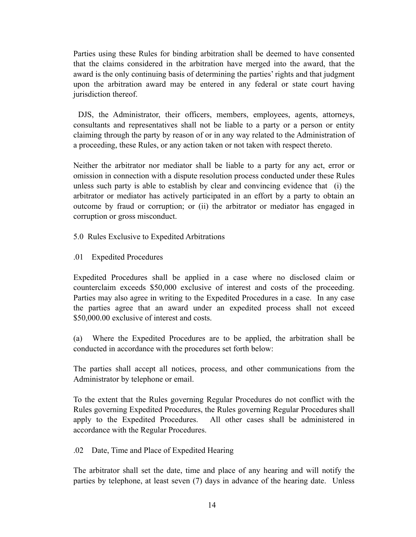Parties using these Rules for binding arbitration shall be deemed to have consented that the claims considered in the arbitration have merged into the award, that the award is the only continuing basis of determining the parties' rights and that judgment upon the arbitration award may be entered in any federal or state court having jurisdiction thereof.

 DJS, the Administrator, their officers, members, employees, agents, attorneys, consultants and representatives shall not be liable to a party or a person or entity claiming through the party by reason of or in any way related to the Administration of a proceeding, these Rules, or any action taken or not taken with respect thereto.

Neither the arbitrator nor mediator shall be liable to a party for any act, error or omission in connection with a dispute resolution process conducted under these Rules unless such party is able to establish by clear and convincing evidence that (i) the arbitrator or mediator has actively participated in an effort by a party to obtain an outcome by fraud or corruption; or (ii) the arbitrator or mediator has engaged in corruption or gross misconduct.

- 5.0 Rules Exclusive to Expedited Arbitrations
- .01 Expedited Procedures

Expedited Procedures shall be applied in a case where no disclosed claim or counterclaim exceeds \$50,000 exclusive of interest and costs of the proceeding. Parties may also agree in writing to the Expedited Procedures in a case. In any case the parties agree that an award under an expedited process shall not exceed \$50,000.00 exclusive of interest and costs.

(a) Where the Expedited Procedures are to be applied, the arbitration shall be conducted in accordance with the procedures set forth below:

The parties shall accept all notices, process, and other communications from the Administrator by telephone or email.

To the extent that the Rules governing Regular Procedures do not conflict with the Rules governing Expedited Procedures, the Rules governing Regular Procedures shall apply to the Expedited Procedures. All other cases shall be administered in accordance with the Regular Procedures.

.02 Date, Time and Place of Expedited Hearing

The arbitrator shall set the date, time and place of any hearing and will notify the parties by telephone, at least seven (7) days in advance of the hearing date. Unless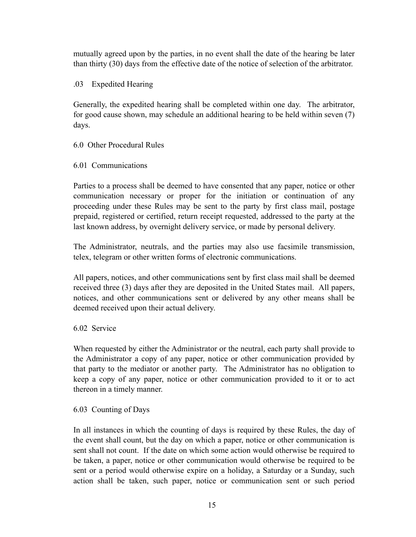mutually agreed upon by the parties, in no event shall the date of the hearing be later than thirty (30) days from the effective date of the notice of selection of the arbitrator.

# .03 Expedited Hearing

Generally, the expedited hearing shall be completed within one day. The arbitrator, for good cause shown, may schedule an additional hearing to be held within seven (7) days.

# 6.0 Other Procedural Rules

# 6.01 Communications

Parties to a process shall be deemed to have consented that any paper, notice or other communication necessary or proper for the initiation or continuation of any proceeding under these Rules may be sent to the party by first class mail, postage prepaid, registered or certified, return receipt requested, addressed to the party at the last known address, by overnight delivery service, or made by personal delivery.

The Administrator, neutrals, and the parties may also use facsimile transmission, telex, telegram or other written forms of electronic communications.

All papers, notices, and other communications sent by first class mail shall be deemed received three (3) days after they are deposited in the United States mail. All papers, notices, and other communications sent or delivered by any other means shall be deemed received upon their actual delivery.

# 6.02 Service

When requested by either the Administrator or the neutral, each party shall provide to the Administrator a copy of any paper, notice or other communication provided by that party to the mediator or another party. The Administrator has no obligation to keep a copy of any paper, notice or other communication provided to it or to act thereon in a timely manner.

# 6.03 Counting of Days

In all instances in which the counting of days is required by these Rules, the day of the event shall count, but the day on which a paper, notice or other communication is sent shall not count. If the date on which some action would otherwise be required to be taken, a paper, notice or other communication would otherwise be required to be sent or a period would otherwise expire on a holiday, a Saturday or a Sunday, such action shall be taken, such paper, notice or communication sent or such period